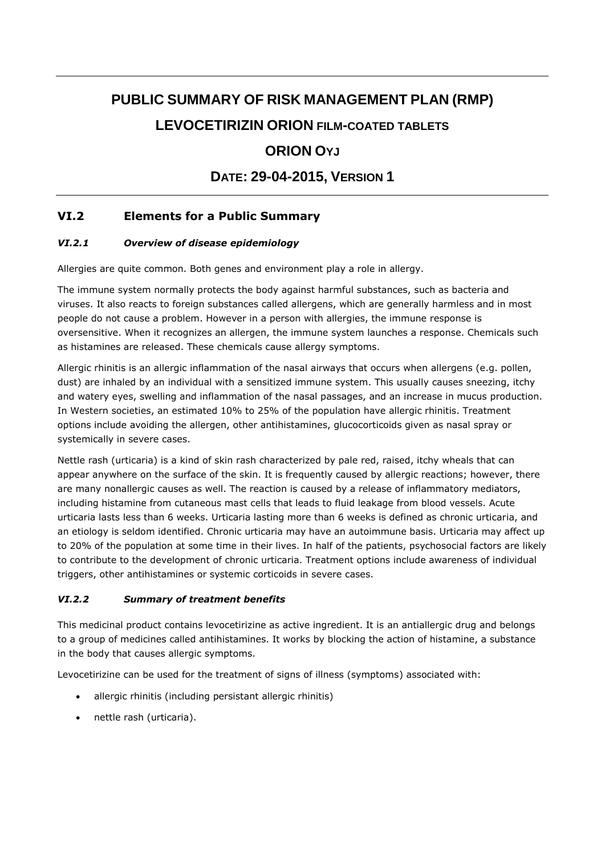# **PUBLIC SUMMARY OF RISK MANAGEMENT PLAN (RMP) LEVOCETIRIZIN ORION FILM-COATED TABLETS**

# **ORION OYJ**

## **DATE: 29-04-2015, VERSION 1**

## **VI.2 Elements for a Public Summary**

## *VI.2.1 Overview of disease epidemiology*

Allergies are quite common. Both genes and environment play a role in allergy.

The immune system normally protects the body against harmful substances, such as bacteria and viruses. It also reacts to foreign substances called allergens, which are generally harmless and in most people do not cause a problem. However in a person with allergies, the immune response is oversensitive. When it recognizes an allergen, the immune system launches a response. Chemicals such as histamines are released. These chemicals cause allergy symptoms.

Allergic rhinitis is an allergic inflammation of the nasal airways that occurs when allergens (e.g. pollen, dust) are inhaled by an individual with a sensitized immune system. This usually causes sneezing, itchy and watery eyes, swelling and inflammation of the nasal passages, and an increase in mucus production. In Western societies, an estimated 10% to 25% of the population have allergic rhinitis. Treatment options include avoiding the allergen, other antihistamines, glucocorticoids given as nasal spray or systemically in severe cases.

Nettle rash (urticaria) is a kind of skin rash characterized by pale red, raised, itchy wheals that can appear anywhere on the surface of the skin. It is frequently caused by allergic reactions; however, there are many nonallergic causes as well. The reaction is caused by a release of inflammatory mediators, including histamine from cutaneous mast cells that leads to fluid leakage from blood vessels. Acute urticaria lasts less than 6 weeks. Urticaria lasting more than 6 weeks is defined as chronic urticaria, and an etiology is seldom identified. Chronic urticaria may have an autoimmune basis. Urticaria may affect up to 20% of the population at some time in their lives. In half of the patients, psychosocial factors are likely to contribute to the development of chronic urticaria. Treatment options include awareness of individual triggers, other antihistamines or systemic corticoids in severe cases.

### *VI.2.2 Summary of treatment benefits*

This medicinal product contains levocetirizine as active ingredient. It is an antiallergic drug and belongs to a group of medicines called antihistamines. It works by blocking the action of histamine, a substance in the body that causes allergic symptoms.

Levocetirizine can be used for the treatment of signs of illness (symptoms) associated with:

- allergic rhinitis (including persistant allergic rhinitis)
- nettle rash (urticaria).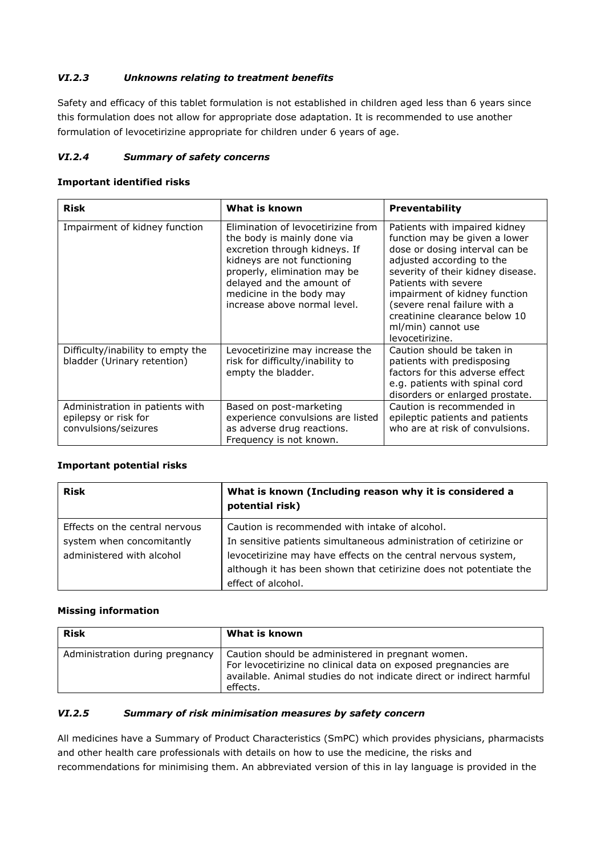### *VI.2.3 Unknowns relating to treatment benefits*

Safety and efficacy of this tablet formulation is not established in children aged less than 6 years since this formulation does not allow for appropriate dose adaptation. It is recommended to use another formulation of levocetirizine appropriate for children under 6 years of age.

#### *VI.2.4 Summary of safety concerns*

#### **Important identified risks**

| <b>Risk</b>                                                                     | What is known                                                                                                                                                                                                                                              | <b>Preventability</b>                                                                                                                                                                                                                                                                                                                 |
|---------------------------------------------------------------------------------|------------------------------------------------------------------------------------------------------------------------------------------------------------------------------------------------------------------------------------------------------------|---------------------------------------------------------------------------------------------------------------------------------------------------------------------------------------------------------------------------------------------------------------------------------------------------------------------------------------|
| Impairment of kidney function                                                   | Elimination of levocetirizine from<br>the body is mainly done via<br>excretion through kidneys. If<br>kidneys are not functioning<br>properly, elimination may be<br>delayed and the amount of<br>medicine in the body may<br>increase above normal level. | Patients with impaired kidney<br>function may be given a lower<br>dose or dosing interval can be<br>adjusted according to the<br>severity of their kidney disease.<br>Patients with severe<br>impairment of kidney function<br>(severe renal failure with a<br>creatinine clearance below 10<br>ml/min) cannot use<br>levocetirizine. |
| Difficulty/inability to empty the<br>bladder (Urinary retention)                | Levocetirizine may increase the<br>risk for difficulty/inability to<br>empty the bladder.                                                                                                                                                                  | Caution should be taken in<br>patients with predisposing<br>factors for this adverse effect<br>e.g. patients with spinal cord<br>disorders or enlarged prostate.                                                                                                                                                                      |
| Administration in patients with<br>epilepsy or risk for<br>convulsions/seizures | Based on post-marketing<br>experience convulsions are listed<br>as adverse drug reactions.<br>Frequency is not known.                                                                                                                                      | Caution is recommended in<br>epileptic patients and patients<br>who are at risk of convulsions.                                                                                                                                                                                                                                       |

#### **Important potential risks**

| <b>Risk</b>                                                                              | What is known (Including reason why it is considered a<br>potential risk)                                                                                                                                                                                                          |
|------------------------------------------------------------------------------------------|------------------------------------------------------------------------------------------------------------------------------------------------------------------------------------------------------------------------------------------------------------------------------------|
| Effects on the central nervous<br>system when concomitantly<br>administered with alcohol | Caution is recommended with intake of alcohol.<br>In sensitive patients simultaneous administration of cetirizine or<br>levocetirizine may have effects on the central nervous system,<br>although it has been shown that cetirizine does not potentiate the<br>effect of alcohol. |

#### **Missing information**

| <b>Risk</b>                     | What is known                                                                                                                                                                                           |
|---------------------------------|---------------------------------------------------------------------------------------------------------------------------------------------------------------------------------------------------------|
| Administration during pregnancy | Caution should be administered in pregnant women.<br>For levocetirizine no clinical data on exposed pregnancies are<br>available. Animal studies do not indicate direct or indirect harmful<br>effects. |

#### *VI.2.5 Summary of risk minimisation measures by safety concern*

All medicines have a Summary of Product Characteristics (SmPC) which provides physicians, pharmacists and other health care professionals with details on how to use the medicine, the risks and recommendations for minimising them. An abbreviated version of this in lay language is provided in the